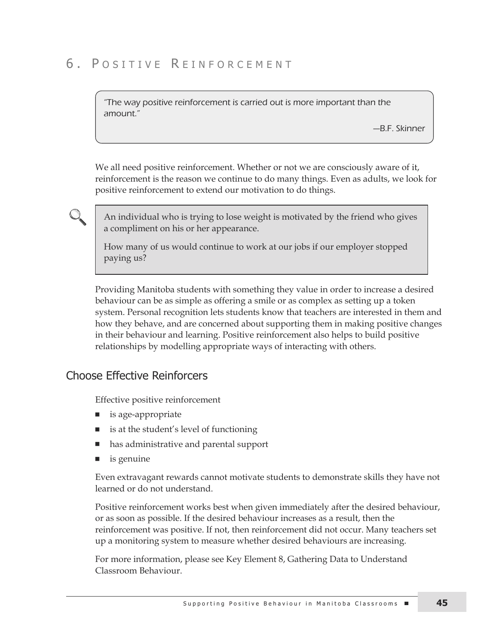# 6. POSITIVE REINFORCEMENT

"The way positive reinforcement is carried out is more important than the amount."

—B.F. Skinner

We all need positive reinforcement. Whether or not we are consciously aware of it, reinforcement is the reason we continue to do many things. Even as adults, we look for positive reinforcement to extend our motivation to do things.

An individual who is trying to lose weight is motivated by the friend who gives a compliment on his or her appearance.

How many of us would continue to work at our jobs if our employer stopped paying us?

Providing Manitoba students with something they value in order to increase a desired behaviour can be as simple as offering a smile or as complex as setting up a token system. Personal recognition lets students know that teachers are interested in them and how they behave, and are concerned about supporting them in making positive changes in their behaviour and learning. Positive reinforcement also helps to build positive relationships by modelling appropriate ways of interacting with others.

#### **Choose Effective Reinforcers**

Effective positive reinforcement

- is age-appropriate
- is at the student's level of functioning
- has administrative and parental support
- is genuine

Even extravagant rewards cannot motivate students to demonstrate skills they have not learned or do not understand.

Positive reinforcement works best when given immediately after the desired behaviour, or as soon as possible. If the desired behaviour increases as a result, then the reinforcement was positive. If not, then reinforcement did not occur. Many teachers set up a monitoring system to measure whether desired behaviours are increasing.

For more information, please see Key Element 8, Gathering Data to Understand Classroom Behaviour.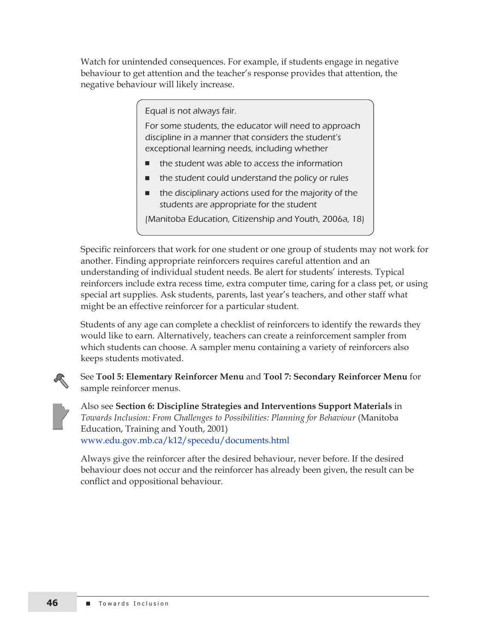Watch for unintended consequences. For example, if students engage in negative behaviour to get attention and the teacher's response provides that attention, the negative behaviour will likely increase.

Equal is not always fair.

For some students, the educator will need to approach discipline in a manner that considers the student's exceptional learning needs, including whether

- the student was able to access the information
- the student could understand the policy or rules
- $\blacksquare$  the disciplinary actions used for the majority of the students are appropriate for the student

(Manitoba Education, Citizenship and Youth, 2006a, 18)

Specific reinforcers that work for one student or one group of students may not work for another. Finding appropriate reinforcers requires careful attention and an understanding of individual student needs. Be alert for students' interests. Typical reinforcers include extra recess time, extra computer time, caring for a class pet, or using special art supplies. Ask students, parents, last year's teachers, and other staff what might be an effective reinforcer for a particular student.

Students of any age can complete a checklist of reinforcers to identify the rewards they would like to earn. Alternatively, teachers can create a reinforcement sampler from which students can choose. A sampler menu containing a variety of reinforcers also keeps students motivated.

See **Tool 5: Elementary Reinforcer Menu** and **Tool 7: Secondary Reinforcer Menu** for sample reinforcer menus.

Also see **Section 6: Discipline Strategies and Interventions Support Materials** in *Towards Inclusion: From Challenges to Possibilities: Planning for Behaviour* (Manitoba Education, Training and Youth, 2001) www.edu.gov.mb.ca/k12/specedu/documents.html

Always give the reinforcer after the desired behaviour, never before. If the desired behaviour does not occur and the reinforcer has already been given, the result can be conflict and oppositional behaviour.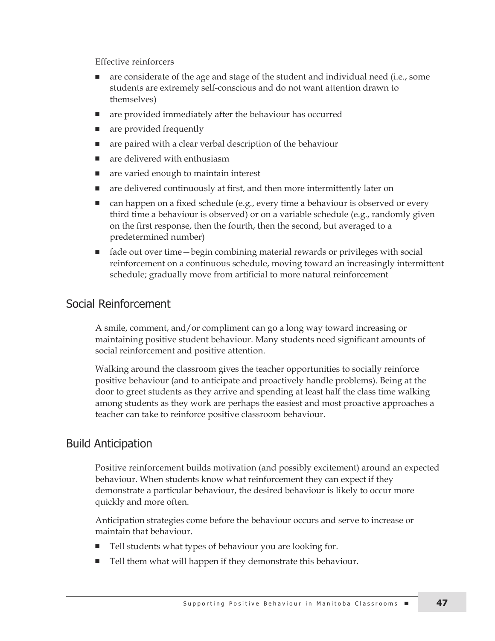Effective reinforcers

- <sup>n</sup> are considerate of the age and stage of the student and individual need (i.e., some students are extremely self-conscious and do not want attention drawn to themselves)
- are provided immediately after the behaviour has occurred
- are provided frequently
- are paired with a clear verbal description of the behaviour
- are delivered with enthusiasm
- are varied enough to maintain interest
- are delivered continuously at first, and then more intermittently later on
- <sup>n</sup> can happen on a fixed schedule (e.g., every time a behaviour is observed or every third time a behaviour is observed) or on a variable schedule (e.g., randomly given on the first response, then the fourth, then the second, but averaged to a predetermined number)
- fade out over time—begin combining material rewards or privileges with social reinforcement on a continuous schedule, moving toward an increasingly intermittent schedule; gradually move from artificial to more natural reinforcement

## Social Reinforcement

A smile, comment, and/or compliment can go a long way toward increasing or maintaining positive student behaviour. Many students need significant amounts of social reinforcement and positive attention.

Walking around the classroom gives the teacher opportunities to socially reinforce positive behaviour (and to anticipate and proactively handle problems). Being at the door to greet students as they arrive and spending at least half the class time walking among students as they work are perhaps the easiest and most proactive approaches a teacher can take to reinforce positive classroom behaviour.

## Build anticipation

Positive reinforcement builds motivation (and possibly excitement) around an expected behaviour. When students know what reinforcement they can expect if they demonstrate a particular behaviour, the desired behaviour is likely to occur more quickly and more often.

Anticipation strategies come before the behaviour occurs and serve to increase or maintain that behaviour.

- Tell students what types of behaviour you are looking for.
- Tell them what will happen if they demonstrate this behaviour.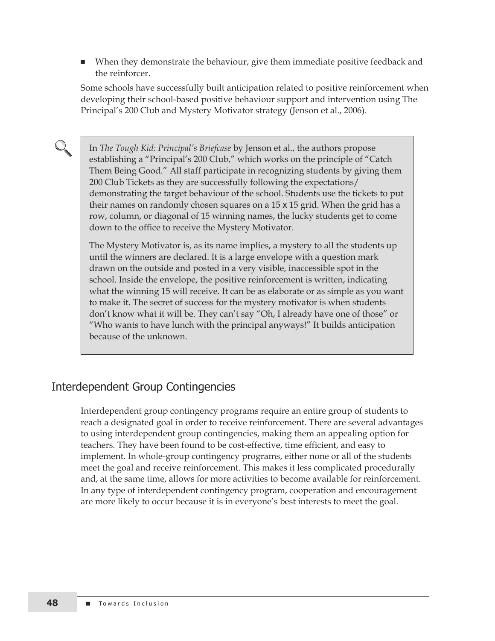<sup>n</sup> When they demonstrate the behaviour, give them immediate positive feedback and the reinforcer.

Some schools have successfully built anticipation related to positive reinforcement when developing their school-based positive behaviour support and intervention using The Principal's 200 Club and Mystery Motivator strategy (Jenson et al., 2006).

In *The Tough Kid: Principal's Briefcase* by Jenson et al., the authors propose establishing a "Principal's 200 Club," which works on the principle of "Catch Them Being Good." All staff participate in recognizing students by giving them 200 Club Tickets as they are successfully following the expectations/ demonstrating the target behaviour of the school. Students use the tickets to put their names on randomly chosen squares on a 15 x 15 grid. When the grid has a row, column, or diagonal of 15 winning names, the lucky students get to come down to the office to receive the Mystery Motivator.

The Mystery Motivator is, as its name implies, a mystery to all the students up until the winners are declared. It is a large envelope with a question mark drawn on the outside and posted in a very visible, inaccessible spot in the school. Inside the envelope, the positive reinforcement is written, indicating what the winning 15 will receive. It can be as elaborate or as simple as you want to make it. The secret of success for the mystery motivator is when students don't know what it will be. They can't say "Oh, I already have one of those" or "Who wants to have lunch with the principal anyways!" It builds anticipation because of the unknown.

#### Interdependent Group Contingencies

Interdependent group contingency programs require an entire group of students to reach a designated goal in order to receive reinforcement. There are several advantages to using interdependent group contingencies, making them an appealing option for teachers. They have been found to be cost-effective, time efficient, and easy to implement. In whole-group contingency programs, either none or all of the students meet the goal and receive reinforcement. This makes it less complicated procedurally and, at the same time, allows for more activities to become available for reinforcement. In any type of interdependent contingency program, cooperation and encouragement are more likely to occur because it is in everyone's best interests to meet the goal.